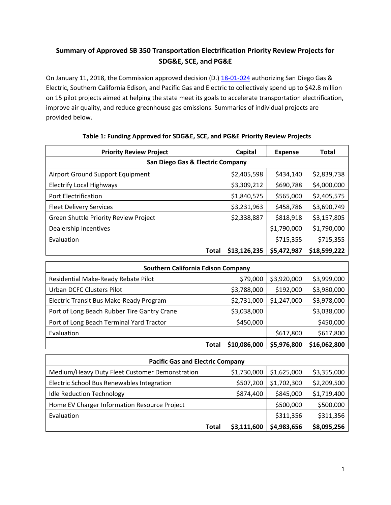# **Summary of Approved SB 350 Transportation Electrification Priority Review Projects for SDG&E, SCE, and PG&E**

On January 11, 2018, the Commission approved decision (D.) [18-01-024](http://docs.cpuc.ca.gov/PublishedDocs/Published/G000/M204/K670/204670548.PDF) authorizing San Diego Gas & Electric, Southern California Edison, and Pacific Gas and Electric to collectively spend up to \$42.8 million on 15 pilot projects aimed at helping the state meet its goals to accelerate transportation electrification, improve air quality, and reduce greenhouse gas emissions. Summaries of individual projects are provided below.

| <b>Priority Review Project</b>        | Capital      | <b>Expense</b> | <b>Total</b> |  |  |
|---------------------------------------|--------------|----------------|--------------|--|--|
| San Diego Gas & Electric Company      |              |                |              |  |  |
| Airport Ground Support Equipment      | \$2,405,598  | \$434,140      | \$2,839,738  |  |  |
| <b>Electrify Local Highways</b>       | \$3,309,212  | \$690,788      | \$4,000,000  |  |  |
| <b>Port Electrification</b>           | \$1,840,575  | \$565,000      | \$2,405,575  |  |  |
| <b>Fleet Delivery Services</b>        | \$3,231,963  | \$458,786      | \$3,690,749  |  |  |
| Green Shuttle Priority Review Project | \$2,338,887  | \$818,918      | \$3,157,805  |  |  |
| Dealership Incentives                 |              | \$1,790,000    | \$1,790,000  |  |  |
| Evaluation                            |              | \$715,355      | \$715,355    |  |  |
| Total                                 | \$13,126,235 | \$5,472,987    | \$18,599,222 |  |  |

#### **Table 1: Funding Approved for SDG&E, SCE, and PG&E Priority Review Projects**

| <b>Southern California Edison Company</b>   |              |             |              |  |  |  |
|---------------------------------------------|--------------|-------------|--------------|--|--|--|
| Residential Make-Ready Rebate Pilot         | \$79,000     | \$3,920,000 | \$3,999,000  |  |  |  |
| Urban DCFC Clusters Pilot                   | \$3,788,000  | \$192,000   | \$3,980,000  |  |  |  |
| Electric Transit Bus Make-Ready Program     | \$2,731,000  | \$1,247,000 | \$3,978,000  |  |  |  |
| Port of Long Beach Rubber Tire Gantry Crane | \$3,038,000  |             | \$3,038,000  |  |  |  |
| Port of Long Beach Terminal Yard Tractor    | \$450,000    |             | \$450,000    |  |  |  |
| Evaluation                                  |              | \$617,800   | \$617,800    |  |  |  |
| Total                                       | \$10,086,000 | \$5,976,800 | \$16,062,800 |  |  |  |

| <b>Pacific Gas and Electric Company</b>        |             |             |             |  |  |
|------------------------------------------------|-------------|-------------|-------------|--|--|
| Medium/Heavy Duty Fleet Customer Demonstration | \$1,730,000 | \$1,625,000 | \$3,355,000 |  |  |
| Electric School Bus Renewables Integration     | \$507,200   | \$1,702,300 | \$2,209,500 |  |  |
| <b>Idle Reduction Technology</b>               | \$874,400   | \$845,000   | \$1,719,400 |  |  |
| Home EV Charger Information Resource Project   |             | \$500,000   | \$500,000   |  |  |
| Evaluation                                     |             | \$311,356   | \$311,356   |  |  |
| Total                                          | \$3,111,600 | \$4,983,656 | \$8,095,256 |  |  |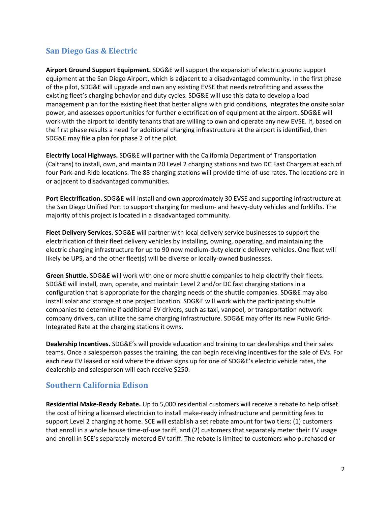## **San Diego Gas & Electric**

**Airport Ground Support Equipment.** SDG&E will support the expansion of electric ground support equipment at the San Diego Airport, which is adjacent to a disadvantaged community. In the first phase of the pilot, SDG&E will upgrade and own any existing EVSE that needs retrofitting and assess the existing fleet's charging behavior and duty cycles. SDG&E will use this data to develop a load management plan for the existing fleet that better aligns with grid conditions, integrates the onsite solar power, and assesses opportunities for further electrification of equipment at the airport. SDG&E will work with the airport to identify tenants that are willing to own and operate any new EVSE. If, based on the first phase results a need for additional charging infrastructure at the airport is identified, then SDG&E may file a plan for phase 2 of the pilot.

**Electrify Local Highways.** SDG&E will partner with the California Department of Transportation (Caltrans) to install, own, and maintain 20 Level 2 charging stations and two DC Fast Chargers at each of four Park-and-Ride locations. The 88 charging stations will provide time-of-use rates. The locations are in or adjacent to disadvantaged communities.

**Port Electrification.** SDG&E will install and own approximately 30 EVSE and supporting infrastructure at the San Diego Unified Port to support charging for medium- and heavy-duty vehicles and forklifts. The majority of this project is located in a disadvantaged community.

**Fleet Delivery Services.** SDG&E will partner with local delivery service businesses to support the electrification of their fleet delivery vehicles by installing, owning, operating, and maintaining the electric charging infrastructure for up to 90 new medium-duty electric delivery vehicles. One fleet will likely be UPS, and the other fleet(s) will be diverse or locally-owned businesses.

**Green Shuttle.** SDG&E will work with one or more shuttle companies to help electrify their fleets. SDG&E will install, own, operate, and maintain Level 2 and/or DC fast charging stations in a configuration that is appropriate for the charging needs of the shuttle companies. SDG&E may also install solar and storage at one project location. SDG&E will work with the participating shuttle companies to determine if additional EV drivers, such as taxi, vanpool, or transportation network company drivers, can utilize the same charging infrastructure. SDG&E may offer its new Public Grid-Integrated Rate at the charging stations it owns.

**Dealership Incentives.** SDG&E's will provide education and training to car dealerships and their sales teams. Once a salesperson passes the training, the can begin receiving incentives for the sale of EVs. For each new EV leased or sold where the driver signs up for one of SDG&E's electric vehicle rates, the dealership and salesperson will each receive \$250.

### **Southern California Edison**

**Residential Make-Ready Rebate.** Up to 5,000 residential customers will receive a rebate to help offset the cost of hiring a licensed electrician to install make-ready infrastructure and permitting fees to support Level 2 charging at home. SCE will establish a set rebate amount for two tiers: (1) customers that enroll in a whole house time-of-use tariff, and (2) customers that separately meter their EV usage and enroll in SCE's separately-metered EV tariff. The rebate is limited to customers who purchased or